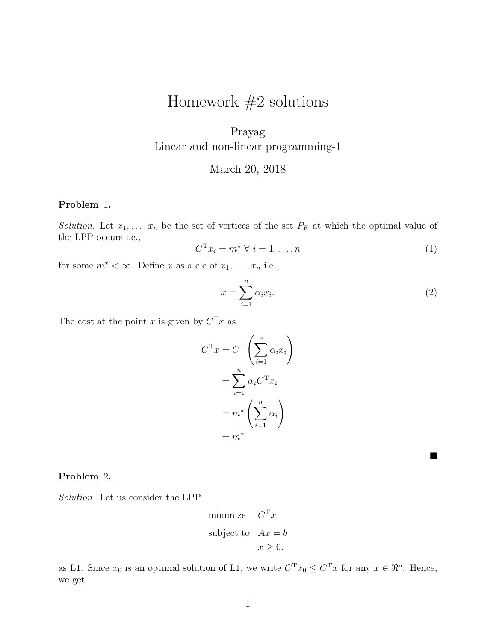# Homework  $#2$  solutions

## Prayag Linear and non-linear programming-1

### March 20, 2018

#### Problem 1.

Solution. Let  $x_1, \ldots, x_n$  be the set of vertices of the set  $P_F$  at which the optimal value of the LPP occurs i.e.,

$$
C^{\mathrm{T}} x_i = m^\star \ \forall \ i = 1, \dots, n \tag{1}
$$

for some  $m^* < \infty$ . Define x as a clc of  $x_1, \ldots, x_n$  i.e.,

$$
x = \sum_{i=1}^{n} \alpha_i x_i.
$$
 (2)

The cost at the point x is given by  $C<sup>T</sup>x$  as

$$
C^{T}x = C^{T} \left(\sum_{i=1}^{n} \alpha_{i} x_{i}\right)
$$

$$
= \sum_{i=1}^{n} \alpha_{i} C^{T} x_{i}
$$

$$
= m^{\star} \left(\sum_{i=1}^{n} \alpha_{i}\right)
$$

$$
= m^{\star}
$$

 $\blacksquare$ 

#### Problem 2.

Solution. Let us consider the LPP

minimize 
$$
C^{\mathrm{T}} x
$$
  
subject to  $Ax = b$   
 $x \ge 0$ .

as L1. Since  $x_0$  is an optimal solution of L1, we write  $C^{T}x_0 \leq C^{T}x$  for any  $x \in \mathbb{R}^n$ . Hence, we get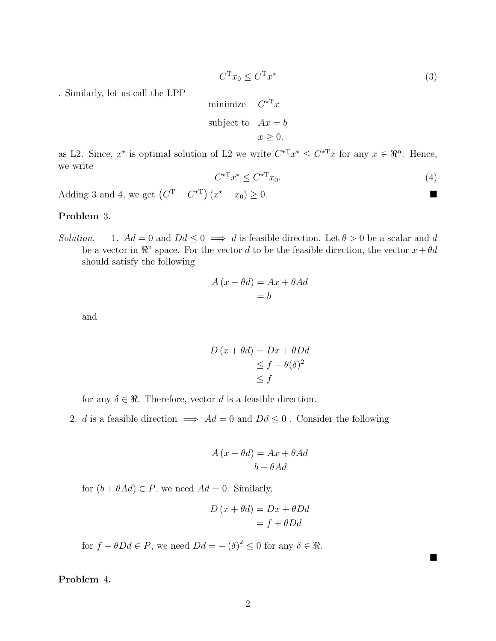$$
C^{\mathrm{T}}x_0 \le C^{\mathrm{T}}x^{\star} \tag{3}
$$

. Similarly, let us call the LPP

minimize 
$$
C^{\star T} x
$$
  
subject to  $Ax = b$   
 $x \ge 0$ .

as L2. Since,  $x^*$  is optimal solution of L2 we write  $C^{*T}x^* \leq C^{*T}x$  for any  $x \in \mathbb{R}^n$ . Hence, we write

$$
C^{\star \mathcal{T}} x^{\star} \le C^{\star \mathcal{T}} x_0. \tag{4}
$$

Adding 3 and 4, we get  $(C^{T} - C^{*T}) (x^{*} - x_0) \ge 0$ .

#### Problem 3.

Solution. 1.  $Ad = 0$  and  $Dd \leq 0 \implies d$  is feasible direction. Let  $\theta > 0$  be a scalar and d be a vector in  $\mathbb{R}^n$  space. For the vector d to be the feasible direction, the vector  $x + \theta d$ should satisfy the following

$$
A (x + \theta d) = Ax + \theta Ad
$$
  
= b

and

$$
D (x + \theta d) = Dx + \theta Dd
$$
  
\n
$$
\leq f - \theta(\delta)^2
$$
  
\n
$$
\leq f
$$

for any  $\delta \in \mathcal{R}$ . Therefore, vector d is a feasible direction.

2. d is a feasible direction  $\implies Ad = 0$  and  $Dd \leq 0$ . Consider the following

$$
A (x + \theta d) = Ax + \theta Ad
$$

$$
b + \theta Ad
$$

for  $(b + \theta Ad) \in P$ , we need  $Ad = 0$ . Similarly,

$$
D (x + \theta d) = Dx + \theta Dd
$$
  
= f + \theta Dd

 $\blacksquare$ 

for  $f + \theta D d \in P$ , we need  $D d = - (\delta)^2 \leq 0$  for any  $\delta \in \Re$ .

Problem 4.